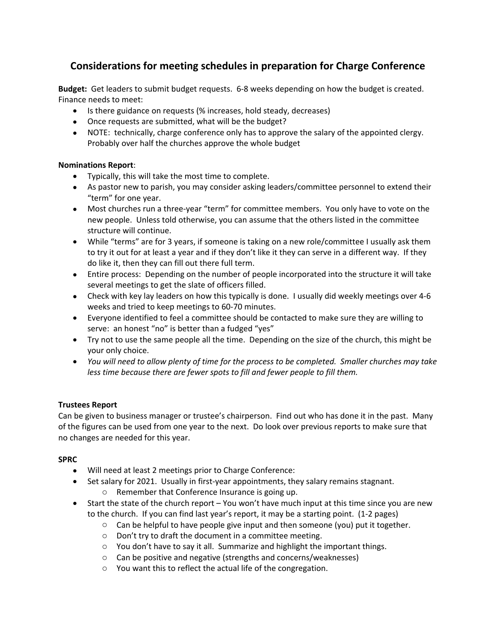## **Considerations for meeting schedules in preparation for Charge Conference**

**Budget:** Get leaders to submit budget requests. 6-8 weeks depending on how the budget is created. Finance needs to meet:

- Is there guidance on requests (% increases, hold steady, decreases)
- Once requests are submitted, what will be the budget?
- NOTE: technically, charge conference only has to approve the salary of the appointed clergy. Probably over half the churches approve the whole budget

#### **Nominations Report**:

- Typically, this will take the most time to complete.
- As pastor new to parish, you may consider asking leaders/committee personnel to extend their "term" for one year.
- Most churches run a three-year "term" for committee members. You only have to vote on the new people. Unless told otherwise, you can assume that the others listed in the committee structure will continue.
- While "terms" are for 3 years, if someone is taking on a new role/committee I usually ask them to try it out for at least a year and if they don't like it they can serve in a different way. If they do like it, then they can fill out there full term.
- Entire process: Depending on the number of people incorporated into the structure it will take several meetings to get the slate of officers filled.
- Check with key lay leaders on how this typically is done. I usually did weekly meetings over 4-6 weeks and tried to keep meetings to 60-70 minutes.
- Everyone identified to feel a committee should be contacted to make sure they are willing to serve: an honest "no" is better than a fudged "yes"
- Try not to use the same people all the time. Depending on the size of the church, this might be your only choice.
- *You will need to allow plenty of time for the process to be completed. Smaller churches may take less time because there are fewer spots to fill and fewer people to fill them.*

### **Trustees Report**

Can be given to business manager or trustee's chairperson. Find out who has done it in the past. Many of the figures can be used from one year to the next. Do look over previous reports to make sure that no changes are needed for this year.

#### **SPRC**

- Will need at least 2 meetings prior to Charge Conference:
- Set salary for 2021. Usually in first-year appointments, they salary remains stagnant. o Remember that Conference Insurance is going up.
- Start the state of the church report You won't have much input at this time since you are new to the church. If you can find last year's report, it may be a starting point. (1-2 pages)
	- $\circ$  Can be helpful to have people give input and then someone (you) put it together.
	- o Don't try to draft the document in a committee meeting.
	- $\circ$  You don't have to say it all. Summarize and highlight the important things.
	- o Can be positive and negative (strengths and concerns/weaknesses)
	- o You want this to reflect the actual life of the congregation.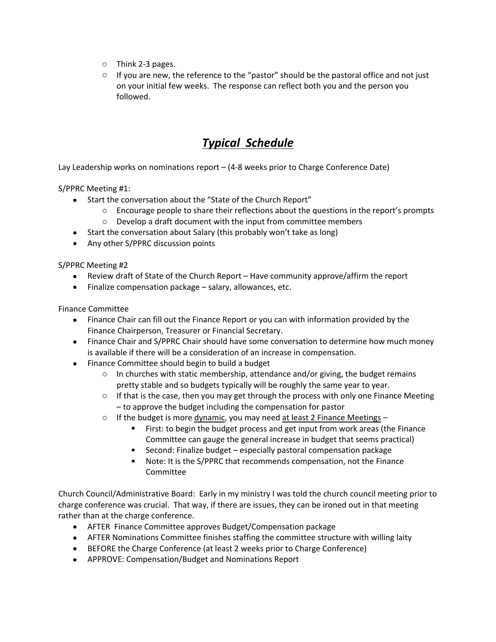- o Think 2-3 pages.
- $\circ$  If you are new, the reference to the "pastor" should be the pastoral office and not just on your initial few weeks. The response can reflect both you and the person you followed.

# *Typical Schedule*

Lay Leadership works on nominations report – (4-8 weeks prior to Charge Conference Date)

S/PPRC Meeting #1:

- Start the conversation about the "State of the Church Report"
	- $\circ$  Encourage people to share their reflections about the questions in the report's prompts
	- o Develop a draft document with the input from committee members
- Start the conversation about Salary (this probably won't take as long)
- Any other S/PPRC discussion points

S/PPRC Meeting #2

- Review draft of State of the Church Report Have community approve/affirm the report
- Finalize compensation package salary, allowances, etc.

Finance Committee

- Finance Chair can fill out the Finance Report or you can with information provided by the Finance Chairperson, Treasurer or Financial Secretary.
- Finance Chair and S/PPRC Chair should have some conversation to determine how much money is available if there will be a consideration of an increase in compensation.
- Finance Committee should begin to build a budget
	- $\circ$  In churches with static membership, attendance and/or giving, the budget remains pretty stable and so budgets typically will be roughly the same year to year.
	- $\circ$  If that is the case, then you may get through the process with only one Finance Meeting – to approve the budget including the compensation for pastor
	- $\circ$  If the budget is more dynamic, you may need at least 2 Finance Meetings
		- First: to begin the budget process and get input from work areas (the Finance Committee can gauge the general increase in budget that seems practical)
		- Second: Finalize budget especially pastoral compensation package
		- Note: It is the S/PPRC that recommends compensation, not the Finance Committee

Church Council/Administrative Board: Early in my ministry I was told the church council meeting prior to charge conference was crucial. That way, if there are issues, they can be ironed out in that meeting rather than at the charge conference.

- AFTER Finance Committee approves Budget/Compensation package
- AFTER Nominations Committee finishes staffing the committee structure with willing laity
- BEFORE the Charge Conference (at least 2 weeks prior to Charge Conference)
- APPROVE: Compensation/Budget and Nominations Report